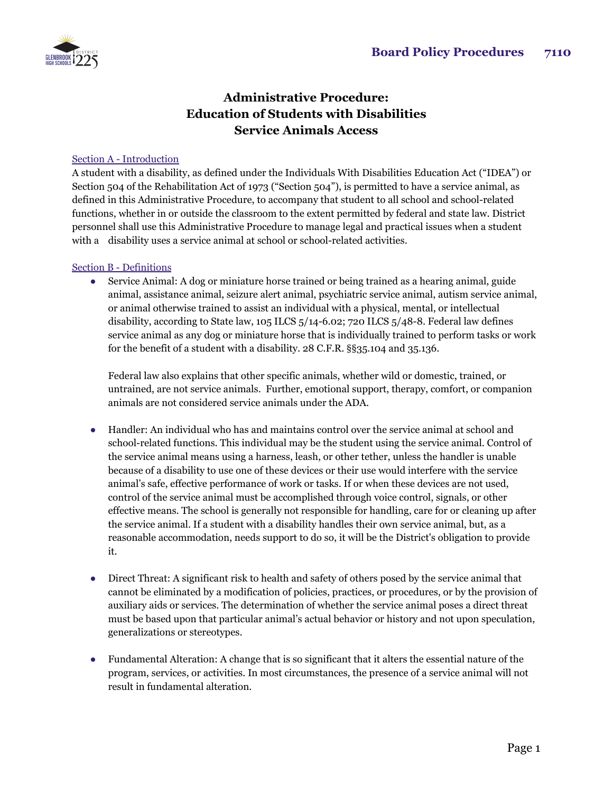

# **Administrative Procedure: Education of Students with Disabilities Service Animals Access**

### Section A - Introduction

A student with a disability, as defined under the Individuals With Disabilities Education Act ("IDEA") or Section 504 of the Rehabilitation Act of 1973 ("Section 504"), is permitted to have a service animal, as defined in this Administrative Procedure, to accompany that student to all school and school-related functions, whether in or outside the classroom to the extent permitted by federal and state law. District personnel shall use this Administrative Procedure to manage legal and practical issues when a student with a disability uses a service animal at school or school-related activities.

#### Section B - Definitions

• Service Animal: A dog or miniature horse trained or being trained as a hearing animal, guide animal, assistance animal, seizure alert animal, psychiatric service animal, autism service animal, or animal otherwise trained to assist an individual with a physical, mental, or intellectual disability, according to State law, 105 ILCS 5/14-6.02; 720 ILCS 5/48-8. Federal law defines service animal as any dog or miniature horse that is individually trained to perform tasks or work for the benefit of a student with a disability. 28 C.F.R. §§35.104 and 35.136.

Federal law also explains that other specific animals, whether wild or domestic, trained, or untrained, are not service animals. Further, emotional support, therapy, comfort, or companion animals are not considered service animals under the ADA.

- Handler: An individual who has and maintains control over the service animal at school and school-related functions. This individual may be the student using the service animal. Control of the service animal means using a harness, leash, or other tether, unless the handler is unable because of a disability to use one of these devices or their use would interfere with the service animal's safe, effective performance of work or tasks. If or when these devices are not used, control of the service animal must be accomplished through voice control, signals, or other effective means. The school is generally not responsible for handling, care for or cleaning up after the service animal. If a student with a disability handles their own service animal, but, as a reasonable accommodation, needs support to do so, it will be the District's obligation to provide it.
- Direct Threat: A significant risk to health and safety of others posed by the service animal that cannot be eliminated by a modification of policies, practices, or procedures, or by the provision of auxiliary aids or services. The determination of whether the service animal poses a direct threat must be based upon that particular animal's actual behavior or history and not upon speculation, generalizations or stereotypes.
- Fundamental Alteration: A change that is so significant that it alters the essential nature of the program, services, or activities. In most circumstances, the presence of a service animal will not result in fundamental alteration.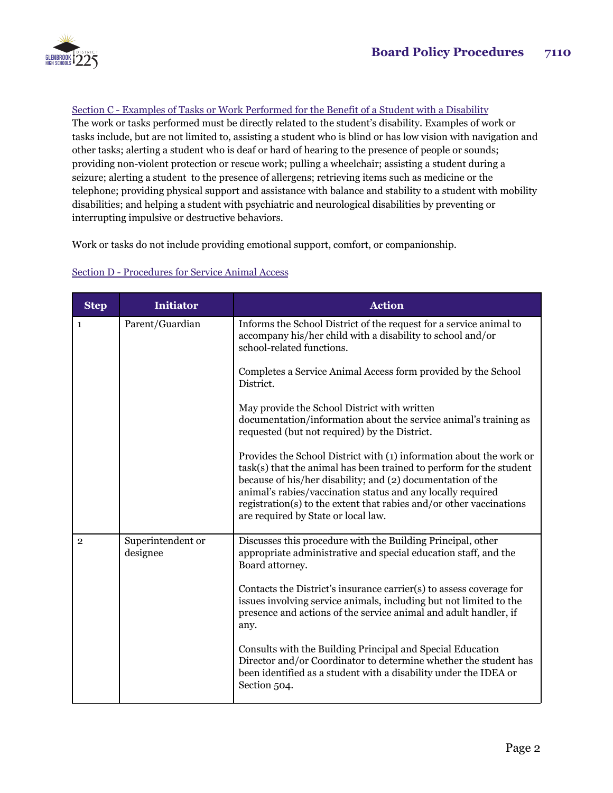

## Section C - Examples of Tasks or Work Performed for the Benefit of a Student with a Disability

The work or tasks performed must be directly related to the student's disability. Examples of work or tasks include, but are not limited to, assisting a student who is blind or has low vision with navigation and other tasks; alerting a student who is deaf or hard of hearing to the presence of people or sounds; providing non-violent protection or rescue work; pulling a wheelchair; assisting a student during a seizure; alerting a student to the presence of allergens; retrieving items such as medicine or the telephone; providing physical support and assistance with balance and stability to a student with mobility disabilities; and helping a student with psychiatric and neurological disabilities by preventing or interrupting impulsive or destructive behaviors.

Work or tasks do not include providing emotional support, comfort, or companionship.

| <b>Step</b>    | <b>Initiator</b>              | <b>Action</b>                                                                                                                                                                                                                                                                                                                                                                          |
|----------------|-------------------------------|----------------------------------------------------------------------------------------------------------------------------------------------------------------------------------------------------------------------------------------------------------------------------------------------------------------------------------------------------------------------------------------|
| $\mathbf{1}$   | Parent/Guardian               | Informs the School District of the request for a service animal to<br>accompany his/her child with a disability to school and/or<br>school-related functions.                                                                                                                                                                                                                          |
|                |                               | Completes a Service Animal Access form provided by the School<br>District.                                                                                                                                                                                                                                                                                                             |
|                |                               | May provide the School District with written<br>documentation/information about the service animal's training as<br>requested (but not required) by the District.                                                                                                                                                                                                                      |
|                |                               | Provides the School District with (1) information about the work or<br>task(s) that the animal has been trained to perform for the student<br>because of his/her disability; and (2) documentation of the<br>animal's rabies/vaccination status and any locally required<br>registration(s) to the extent that rabies and/or other vaccinations<br>are required by State or local law. |
| $\overline{2}$ | Superintendent or<br>designee | Discusses this procedure with the Building Principal, other<br>appropriate administrative and special education staff, and the<br>Board attorney.                                                                                                                                                                                                                                      |
|                |                               | Contacts the District's insurance carrier(s) to assess coverage for<br>issues involving service animals, including but not limited to the<br>presence and actions of the service animal and adult handler, if<br>any.                                                                                                                                                                  |
|                |                               | Consults with the Building Principal and Special Education<br>Director and/or Coordinator to determine whether the student has<br>been identified as a student with a disability under the IDEA or<br>Section 504.                                                                                                                                                                     |

#### Section D - Procedures for Service Animal Access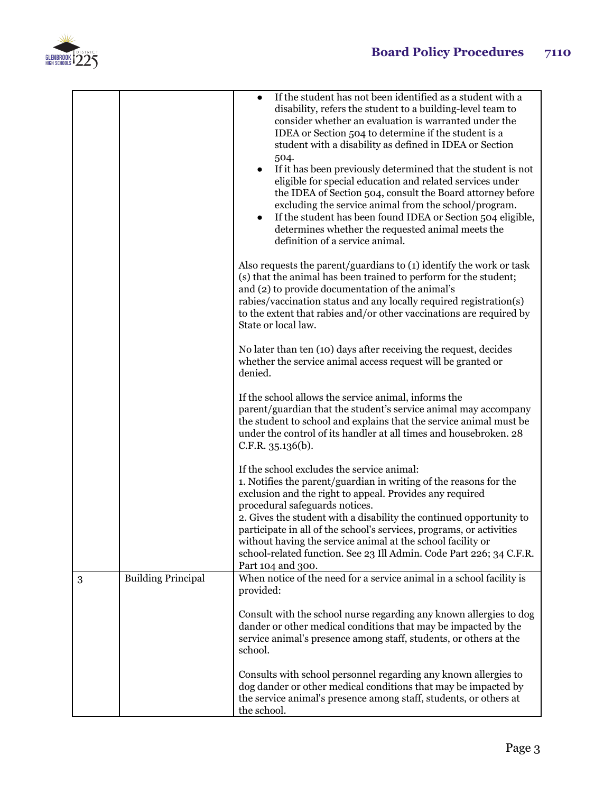



|   |                           | If the student has not been identified as a student with a<br>disability, refers the student to a building-level team to<br>consider whether an evaluation is warranted under the<br>IDEA or Section 504 to determine if the student is a<br>student with a disability as defined in IDEA or Section<br>504.<br>If it has been previously determined that the student is not<br>eligible for special education and related services under<br>the IDEA of Section 504, consult the Board attorney before<br>excluding the service animal from the school/program.<br>If the student has been found IDEA or Section 504 eligible,<br>determines whether the requested animal meets the<br>definition of a service animal. |
|---|---------------------------|-------------------------------------------------------------------------------------------------------------------------------------------------------------------------------------------------------------------------------------------------------------------------------------------------------------------------------------------------------------------------------------------------------------------------------------------------------------------------------------------------------------------------------------------------------------------------------------------------------------------------------------------------------------------------------------------------------------------------|
|   |                           | Also requests the parent/guardians to (1) identify the work or task<br>(s) that the animal has been trained to perform for the student;<br>and (2) to provide documentation of the animal's<br>rabies/vaccination status and any locally required registration(s)<br>to the extent that rabies and/or other vaccinations are required by<br>State or local law.                                                                                                                                                                                                                                                                                                                                                         |
|   |                           | No later than ten (10) days after receiving the request, decides<br>whether the service animal access request will be granted or<br>denied.                                                                                                                                                                                                                                                                                                                                                                                                                                                                                                                                                                             |
|   |                           | If the school allows the service animal, informs the<br>parent/guardian that the student's service animal may accompany<br>the student to school and explains that the service animal must be<br>under the control of its handler at all times and housebroken. 28<br>C.F.R. 35.136(b).                                                                                                                                                                                                                                                                                                                                                                                                                                 |
|   |                           | If the school excludes the service animal:<br>1. Notifies the parent/guardian in writing of the reasons for the<br>exclusion and the right to appeal. Provides any required<br>procedural safeguards notices.                                                                                                                                                                                                                                                                                                                                                                                                                                                                                                           |
|   |                           | 2. Gives the student with a disability the continued opportunity to<br>participate in all of the school's services, programs, or activities<br>without having the service animal at the school facility or<br>school-related function. See 23 Ill Admin. Code Part 226; 34 C.F.R.<br>Part 104 and 300.                                                                                                                                                                                                                                                                                                                                                                                                                  |
| 3 | <b>Building Principal</b> | When notice of the need for a service animal in a school facility is<br>provided:                                                                                                                                                                                                                                                                                                                                                                                                                                                                                                                                                                                                                                       |
|   |                           | Consult with the school nurse regarding any known allergies to dog<br>dander or other medical conditions that may be impacted by the<br>service animal's presence among staff, students, or others at the<br>school.                                                                                                                                                                                                                                                                                                                                                                                                                                                                                                    |
|   |                           | Consults with school personnel regarding any known allergies to<br>dog dander or other medical conditions that may be impacted by<br>the service animal's presence among staff, students, or others at<br>the school.                                                                                                                                                                                                                                                                                                                                                                                                                                                                                                   |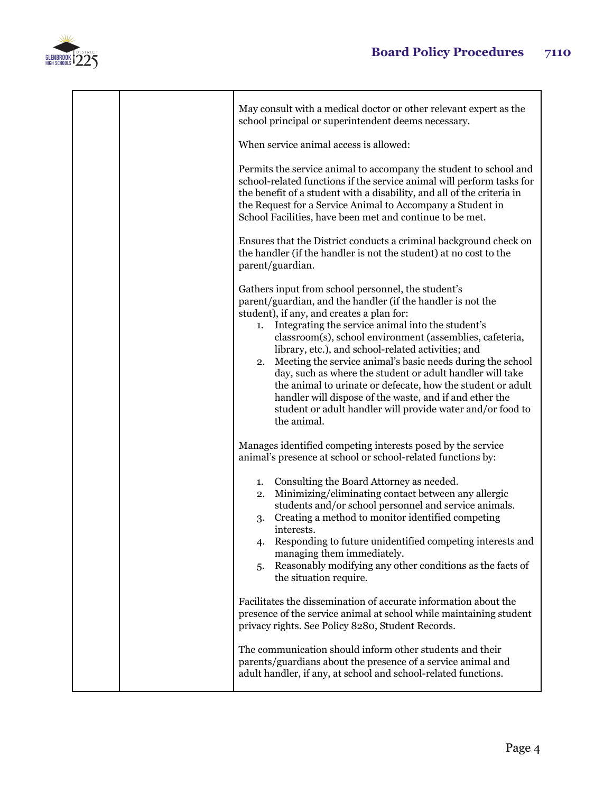

|  | May consult with a medical doctor or other relevant expert as the<br>school principal or superintendent deems necessary.                                                                                                                                                                                                                                                                                                                                                                                                                                                                                                                                                            |
|--|-------------------------------------------------------------------------------------------------------------------------------------------------------------------------------------------------------------------------------------------------------------------------------------------------------------------------------------------------------------------------------------------------------------------------------------------------------------------------------------------------------------------------------------------------------------------------------------------------------------------------------------------------------------------------------------|
|  | When service animal access is allowed:                                                                                                                                                                                                                                                                                                                                                                                                                                                                                                                                                                                                                                              |
|  | Permits the service animal to accompany the student to school and<br>school-related functions if the service animal will perform tasks for<br>the benefit of a student with a disability, and all of the criteria in<br>the Request for a Service Animal to Accompany a Student in<br>School Facilities, have been met and continue to be met.                                                                                                                                                                                                                                                                                                                                      |
|  | Ensures that the District conducts a criminal background check on<br>the handler (if the handler is not the student) at no cost to the<br>parent/guardian.                                                                                                                                                                                                                                                                                                                                                                                                                                                                                                                          |
|  | Gathers input from school personnel, the student's<br>parent/guardian, and the handler (if the handler is not the<br>student), if any, and creates a plan for:<br>Integrating the service animal into the student's<br>1.<br>classroom(s), school environment (assemblies, cafeteria,<br>library, etc.), and school-related activities; and<br>Meeting the service animal's basic needs during the school<br>2.<br>day, such as where the student or adult handler will take<br>the animal to urinate or defecate, how the student or adult<br>handler will dispose of the waste, and if and ether the<br>student or adult handler will provide water and/or food to<br>the animal. |
|  | Manages identified competing interests posed by the service<br>animal's presence at school or school-related functions by:                                                                                                                                                                                                                                                                                                                                                                                                                                                                                                                                                          |
|  | Consulting the Board Attorney as needed.<br>1.<br>Minimizing/eliminating contact between any allergic<br>2.<br>students and/or school personnel and service animals.<br>Creating a method to monitor identified competing<br>3.<br>interests.<br>4. Responding to future unidentified competing interests and<br>managing them immediately.<br>Reasonably modifying any other conditions as the facts of<br>5.<br>the situation require.                                                                                                                                                                                                                                            |
|  | Facilitates the dissemination of accurate information about the<br>presence of the service animal at school while maintaining student<br>privacy rights. See Policy 8280, Student Records.                                                                                                                                                                                                                                                                                                                                                                                                                                                                                          |
|  | The communication should inform other students and their<br>parents/guardians about the presence of a service animal and<br>adult handler, if any, at school and school-related functions.                                                                                                                                                                                                                                                                                                                                                                                                                                                                                          |